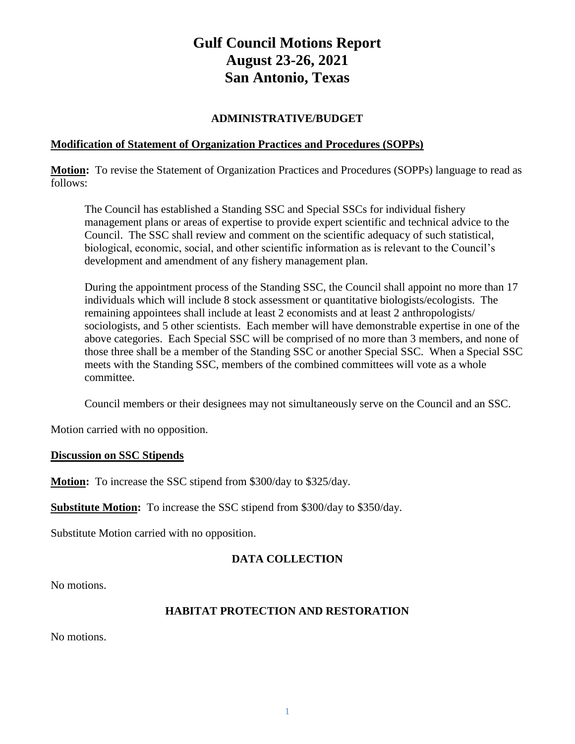# **Gulf Council Motions Report August 23-26, 2021 San Antonio, Texas**

#### **ADMINISTRATIVE/BUDGET**

#### **Modification of Statement of Organization Practices and Procedures (SOPPs)**

**Motion:** To revise the Statement of Organization Practices and Procedures (SOPPs) language to read as follows:

The Council has established a Standing SSC and Special SSCs for individual fishery management plans or areas of expertise to provide expert scientific and technical advice to the Council. The SSC shall review and comment on the scientific adequacy of such statistical, biological, economic, social, and other scientific information as is relevant to the Council's development and amendment of any fishery management plan.

During the appointment process of the Standing SSC, the Council shall appoint no more than 17 individuals which will include 8 stock assessment or quantitative biologists/ecologists. The remaining appointees shall include at least 2 economists and at least 2 anthropologists/ sociologists, and 5 other scientists. Each member will have demonstrable expertise in one of the above categories. Each Special SSC will be comprised of no more than 3 members, and none of those three shall be a member of the Standing SSC or another Special SSC. When a Special SSC meets with the Standing SSC, members of the combined committees will vote as a whole committee.

Council members or their designees may not simultaneously serve on the Council and an SSC.

Motion carried with no opposition.

#### **Discussion on SSC Stipends**

**Motion:** To increase the SSC stipend from \$300/day to \$325/day.

**Substitute Motion:** To increase the SSC stipend from \$300/day to \$350/day.

Substitute Motion carried with no opposition.

# **DATA COLLECTION**

No motions.

## **HABITAT PROTECTION AND RESTORATION**

No motions.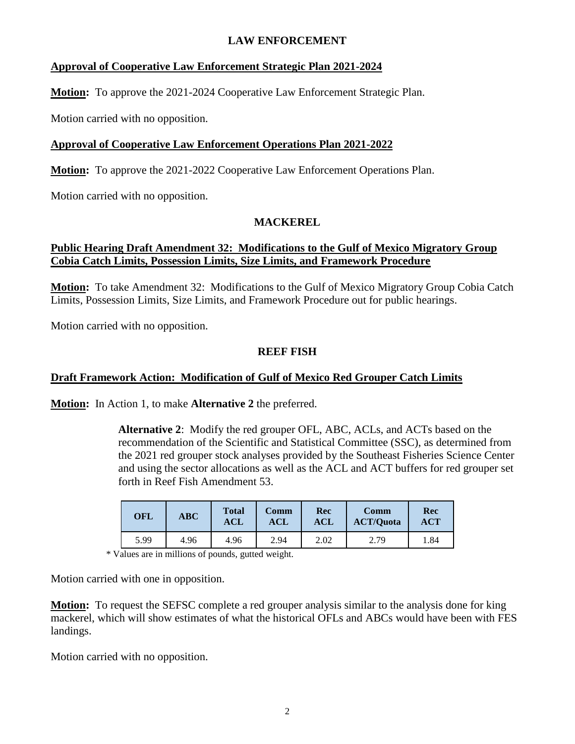## **LAW ENFORCEMENT**

#### **Approval of Cooperative Law Enforcement Strategic Plan 2021-2024**

**Motion:** To approve the 2021-2024 Cooperative Law Enforcement Strategic Plan.

Motion carried with no opposition.

#### **Approval of Cooperative Law Enforcement Operations Plan 2021-2022**

**Motion:** To approve the 2021-2022 Cooperative Law Enforcement Operations Plan.

Motion carried with no opposition.

#### **MACKEREL**

#### **Public Hearing Draft Amendment 32: Modifications to the Gulf of Mexico Migratory Group Cobia Catch Limits, Possession Limits, Size Limits, and Framework Procedure**

**Motion:** To take Amendment 32: Modifications to the Gulf of Mexico Migratory Group Cobia Catch Limits, Possession Limits, Size Limits, and Framework Procedure out for public hearings.

Motion carried with no opposition.

#### **REEF FISH**

## **Draft Framework Action: Modification of Gulf of Mexico Red Grouper Catch Limits**

**Motion:** In Action 1, to make **Alternative 2** the preferred.

**Alternative 2**: Modify the red grouper OFL, ABC, ACLs, and ACTs based on the recommendation of the Scientific and Statistical Committee (SSC), as determined from the 2021 red grouper stock analyses provided by the Southeast Fisheries Science Center and using the sector allocations as well as the ACL and ACT buffers for red grouper set forth in Reef Fish Amendment 53.

| <b>OFL</b> | <b>ABC</b> | <b>Total</b><br>$\bf{ACL}$ | Comm<br>$\mathbf{A}\mathbf{C}\mathbf{L}$ | Rec<br><b>ACL</b> | Comm<br><b>ACT/Quota</b> | Rec<br>ACT |
|------------|------------|----------------------------|------------------------------------------|-------------------|--------------------------|------------|
| 5.99       | 4.96       | 4.96                       | 2.94                                     | 2.02              | 2.79                     | 1.84       |

\* Values are in millions of pounds, gutted weight.

Motion carried with one in opposition.

**Motion:** To request the SEFSC complete a red grouper analysis similar to the analysis done for king mackerel, which will show estimates of what the historical OFLs and ABCs would have been with FES landings.

Motion carried with no opposition.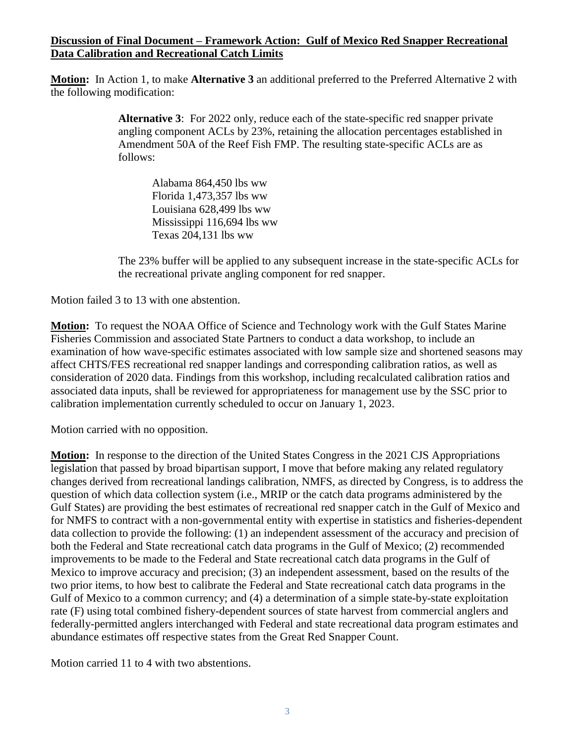#### **Discussion of Final Document – Framework Action: Gulf of Mexico Red Snapper Recreational Data Calibration and Recreational Catch Limits**

**Motion:** In Action 1, to make **Alternative 3** an additional preferred to the Preferred Alternative 2 with the following modification:

> **Alternative 3**: For 2022 only, reduce each of the state-specific red snapper private angling component ACLs by 23%, retaining the allocation percentages established in Amendment 50A of the Reef Fish FMP. The resulting state-specific ACLs are as follows:

Alabama 864,450 lbs ww Florida 1,473,357 lbs ww Louisiana 628,499 lbs ww Mississippi 116,694 lbs ww Texas 204,131 lbs ww

The 23% buffer will be applied to any subsequent increase in the state-specific ACLs for the recreational private angling component for red snapper.

Motion failed 3 to 13 with one abstention.

**Motion:** To request the NOAA Office of Science and Technology work with the Gulf States Marine Fisheries Commission and associated State Partners to conduct a data workshop, to include an examination of how wave-specific estimates associated with low sample size and shortened seasons may affect CHTS/FES recreational red snapper landings and corresponding calibration ratios, as well as consideration of 2020 data. Findings from this workshop, including recalculated calibration ratios and associated data inputs, shall be reviewed for appropriateness for management use by the SSC prior to calibration implementation currently scheduled to occur on January 1, 2023.

Motion carried with no opposition.

**Motion:** In response to the direction of the United States Congress in the 2021 CJS Appropriations legislation that passed by broad bipartisan support, I move that before making any related regulatory changes derived from recreational landings calibration, NMFS, as directed by Congress, is to address the question of which data collection system (i.e., MRIP or the catch data programs administered by the Gulf States) are providing the best estimates of recreational red snapper catch in the Gulf of Mexico and for NMFS to contract with a non-governmental entity with expertise in statistics and fisheries-dependent data collection to provide the following: (1) an independent assessment of the accuracy and precision of both the Federal and State recreational catch data programs in the Gulf of Mexico; (2) recommended improvements to be made to the Federal and State recreational catch data programs in the Gulf of Mexico to improve accuracy and precision; (3) an independent assessment, based on the results of the two prior items, to how best to calibrate the Federal and State recreational catch data programs in the Gulf of Mexico to a common currency; and (4) a determination of a simple state-by-state exploitation rate (F) using total combined fishery-dependent sources of state harvest from commercial anglers and federally-permitted anglers interchanged with Federal and state recreational data program estimates and abundance estimates off respective states from the Great Red Snapper Count.

Motion carried 11 to 4 with two abstentions.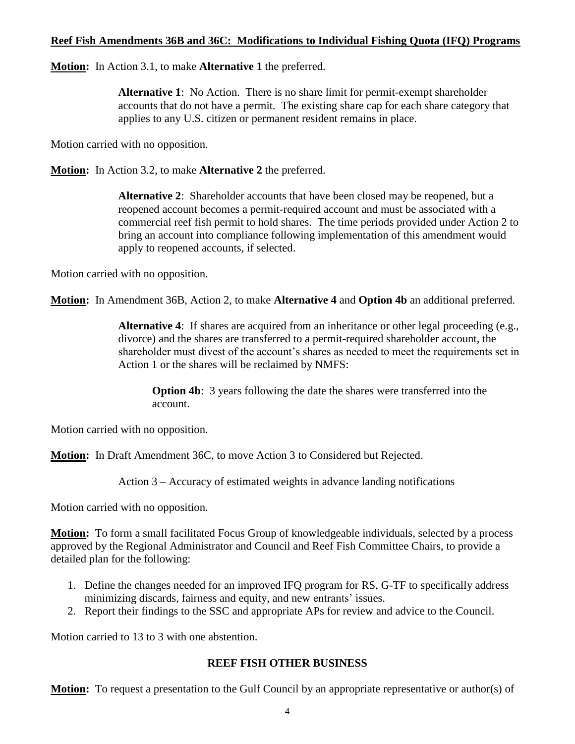#### **Reef Fish Amendments 36B and 36C: Modifications to Individual Fishing Quota (IFQ) Programs**

**Motion:** In Action 3.1, to make **Alternative 1** the preferred.

**Alternative 1**: No Action. There is no share limit for permit-exempt shareholder accounts that do not have a permit. The existing share cap for each share category that applies to any U.S. citizen or permanent resident remains in place.

Motion carried with no opposition.

**Motion:** In Action 3.2, to make **Alternative 2** the preferred.

**Alternative 2**: Shareholder accounts that have been closed may be reopened, but a reopened account becomes a permit-required account and must be associated with a commercial reef fish permit to hold shares. The time periods provided under Action 2 to bring an account into compliance following implementation of this amendment would apply to reopened accounts, if selected.

Motion carried with no opposition.

**Motion:** In Amendment 36B, Action 2, to make **Alternative 4** and **Option 4b** an additional preferred.

**Alternative 4**: If shares are acquired from an inheritance or other legal proceeding (e.g., divorce) and the shares are transferred to a permit-required shareholder account, the shareholder must divest of the account's shares as needed to meet the requirements set in Action 1 or the shares will be reclaimed by NMFS:

**Option 4b**: 3 years following the date the shares were transferred into the account.

Motion carried with no opposition.

**Motion:** In Draft Amendment 36C, to move Action 3 to Considered but Rejected.

Action 3 – Accuracy of estimated weights in advance landing notifications

Motion carried with no opposition.

**Motion:** To form a small facilitated Focus Group of knowledgeable individuals, selected by a process approved by the Regional Administrator and Council and Reef Fish Committee Chairs, to provide a detailed plan for the following:

- 1. Define the changes needed for an improved IFQ program for RS, G-TF to specifically address minimizing discards, fairness and equity, and new entrants' issues.
- 2. Report their findings to the SSC and appropriate APs for review and advice to the Council.

Motion carried to 13 to 3 with one abstention.

#### **REEF FISH OTHER BUSINESS**

**Motion:** To request a presentation to the Gulf Council by an appropriate representative or author(s) of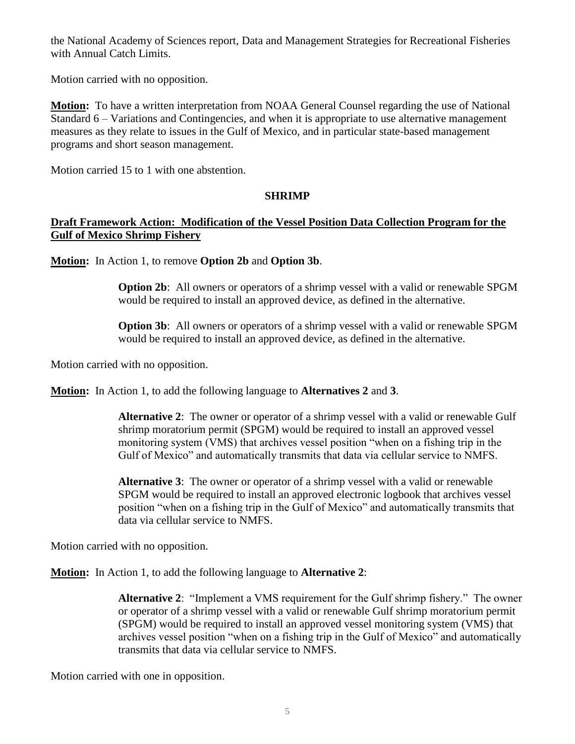the National Academy of Sciences report, Data and Management Strategies for Recreational Fisheries with Annual Catch Limits.

Motion carried with no opposition.

**Motion:** To have a written interpretation from NOAA General Counsel regarding the use of National Standard 6 – Variations and Contingencies, and when it is appropriate to use alternative management measures as they relate to issues in the Gulf of Mexico, and in particular state-based management programs and short season management.

Motion carried 15 to 1 with one abstention.

## **SHRIMP**

## **Draft Framework Action: Modification of the Vessel Position Data Collection Program for the Gulf of Mexico Shrimp Fishery**

**Motion:** In Action 1, to remove **Option 2b** and **Option 3b**.

**Option 2b**: All owners or operators of a shrimp vessel with a valid or renewable SPGM would be required to install an approved device, as defined in the alternative.

**Option 3b**: All owners or operators of a shrimp vessel with a valid or renewable SPGM would be required to install an approved device, as defined in the alternative.

Motion carried with no opposition.

**Motion:** In Action 1, to add the following language to **Alternatives 2** and **3**.

**Alternative 2**: The owner or operator of a shrimp vessel with a valid or renewable Gulf shrimp moratorium permit (SPGM) would be required to install an approved vessel monitoring system (VMS) that archives vessel position "when on a fishing trip in the Gulf of Mexico" and automatically transmits that data via cellular service to NMFS.

**Alternative 3**: The owner or operator of a shrimp vessel with a valid or renewable SPGM would be required to install an approved electronic logbook that archives vessel position "when on a fishing trip in the Gulf of Mexico" and automatically transmits that data via cellular service to NMFS.

Motion carried with no opposition.

**Motion:** In Action 1, to add the following language to **Alternative 2**:

**Alternative 2**: "Implement a VMS requirement for the Gulf shrimp fishery." The owner or operator of a shrimp vessel with a valid or renewable Gulf shrimp moratorium permit (SPGM) would be required to install an approved vessel monitoring system (VMS) that archives vessel position "when on a fishing trip in the Gulf of Mexico" and automatically transmits that data via cellular service to NMFS.

Motion carried with one in opposition.